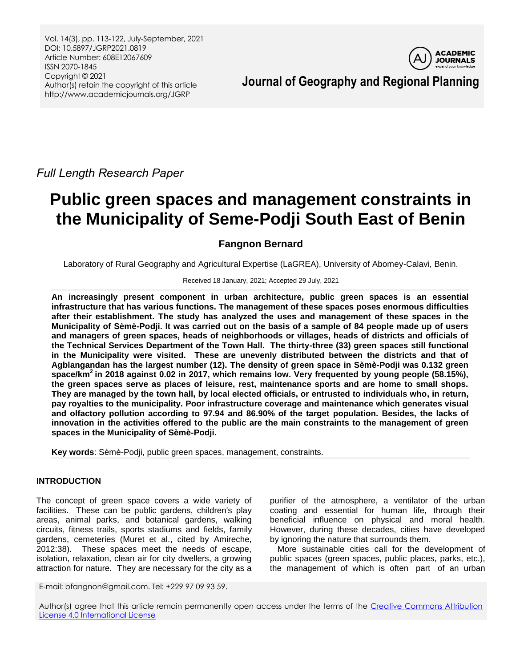Vol. 14(3), pp. 113-122, July-September, 2021 DOI: 10.5897/JGRP2021.0819 Article Number: 608E12067609 ISSN 2070-1845 Copyright © 2021 Author(s) retain the copyright of this article http://www.academicjournals.org/JGRP



**Journal of Geography and Regional Planning**

*Full Length Research Paper*

# **Public green spaces and management constraints in the Municipality of Seme-Podji South East of Benin**

## **Fangnon Bernard**

Laboratory of Rural Geography and Agricultural Expertise (LaGREA), University of Abomey-Calavi, Benin.

#### Received 18 January, 2021; Accepted 29 July, 2021

**An increasingly present component in urban architecture, public green spaces is an essential infrastructure that has various functions. The management of these spaces poses enormous difficulties after their establishment. The study has analyzed the uses and management of these spaces in the Municipality of Sèmè-Podji. It was carried out on the basis of a sample of 84 people made up of users and managers of green spaces, heads of neighborhoods or villages, heads of districts and officials of the Technical Services Department of the Town Hall. The thirty-three (33) green spaces still functional in the Municipality were visited. These are unevenly distributed between the districts and that of Agblangandan has the largest number (12). The density of green space in Sèmè-Podji was 0.132 green space/km<sup>2</sup>in 2018 against 0.02 in 2017, which remains low. Very frequented by young people (58.15%), the green spaces serve as places of leisure, rest, maintenance sports and are home to small shops. They are managed by the town hall, by local elected officials, or entrusted to individuals who, in return, pay royalties to the municipality. Poor infrastructure coverage and maintenance which generates visual and olfactory pollution according to 97.94 and 86.90% of the target population. Besides, the lacks of innovation in the activities offered to the public are the main constraints to the management of green spaces in the Municipality of Sèmè-Podji.**

**Key words**: Sèmè-Podji, public green spaces, management, constraints.

## **INTRODUCTION**

The concept of green space covers a wide variety of facilities. These can be public gardens, children's play areas, animal parks, and botanical gardens, walking circuits, fitness trails, sports stadiums and fields, family gardens, cemeteries (Muret et al., cited by Amireche, 2012:38). These spaces meet the needs of escape, isolation, relaxation, clean air for city dwellers, a growing attraction for nature. They are necessary for the city as a

purifier of the atmosphere, a ventilator of the urban coating and essential for human life, through their beneficial influence on physical and moral health. However, during these decades, cities have developed by ignoring the nature that surrounds them.

More sustainable cities call for the development of public spaces (green spaces, public places, parks, etc.), the management of which is often part of an urban

E-mail: bfangnon@gmail.com. Tel: +229 97 09 93 59.

Author(s) agree that this article remain permanently open access under the terms of the Creative Commons Attribution [License 4.0 International License](http://creativecommons.org/licenses/by/4.0/deed.en_US)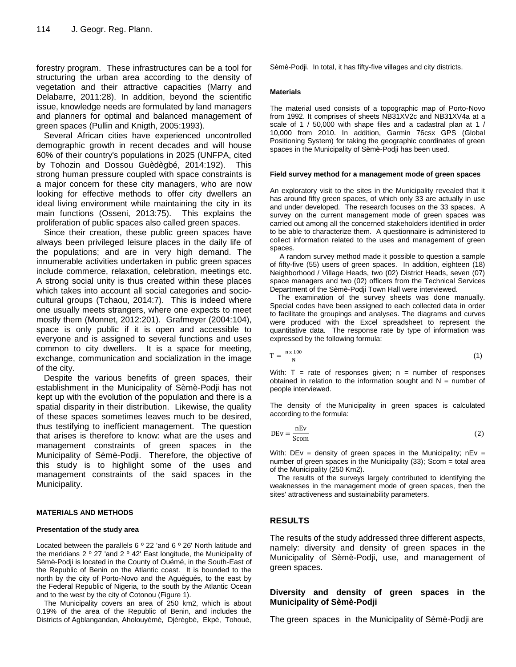forestry program. These infrastructures can be a tool for structuring the urban area according to the density of vegetation and their attractive capacities (Marry and Delabarre, 2011:28). In addition, beyond the scientific issue, knowledge needs are formulated by land managers and planners for optimal and balanced management of green spaces (Pullin and Knigth, 2005:1993).

Several African cities have experienced uncontrolled demographic growth in recent decades and will house 60% of their country's populations in 2025 (UNFPA, cited by Tohozin and Dossou Guèdègbé, 2014:192). This strong human pressure coupled with space constraints is a major concern for these city managers, who are now looking for effective methods to offer city dwellers an ideal living environment while maintaining the city in its main functions (Osseni, 2013:75). This explains the proliferation of public spaces also called green spaces.

Since their creation, these public green spaces have always been privileged leisure places in the daily life of the populations; and are in very high demand. The innumerable activities undertaken in public green spaces include commerce, relaxation, celebration, meetings etc. A strong social unity is thus created within these places which takes into account all social categories and sociocultural groups (Tchaou, 2014:7). This is indeed where one usually meets strangers, where one expects to meet mostly them (Monnet, 2012:201). Grafmeyer (2004:104), space is only public if it is open and accessible to everyone and is assigned to several functions and uses common to city dwellers. It is a space for meeting, exchange, communication and socialization in the image of the city.

Despite the various benefits of green spaces, their establishment in the Municipality of Sèmè-Podji has not kept up with the evolution of the population and there is a spatial disparity in their distribution. Likewise, the quality of these spaces sometimes leaves much to be desired, thus testifying to inefficient management. The question that arises is therefore to know: what are the uses and management constraints of green spaces in the Municipality of Sèmè-Podji. Therefore, the objective of this study is to highlight some of the uses and management constraints of the said spaces in the Municipality.

#### **MATERIALS AND METHODS**

#### **Presentation of the study area**

Located between the parallels 6 º 22 'and 6 º 26' North latitude and the meridians 2 º 27 'and 2 º 42' East longitude, the Municipality of Sèmè-Podji is located in the County of Ouémé, in the South-East of the Republic of Benin on the Atlantic coast. It is bounded to the north by the city of Porto-Novo and the Aguégués, to the east by the Federal Republic of Nigeria, to the south by the Atlantic Ocean and to the west by the city of Cotonou (Figure 1).

The Municipality covers an area of 250 km2, which is about 0.19% of the area of the Republic of Benin, and includes the Districts of Agblangandan, Aholouyèmè, Djèrègbé, Ekpè, Tohouè, Sèmè-Podji. In total, it has fifty-five villages and city districts.

#### **Materials**

The material used consists of a topographic map of Porto-Novo from 1992. It comprises of sheets NB31XV2c and NB31XV4a at a scale of 1 / 50,000 with shape files and a cadastral plan at 1 / 10,000 from 2010. In addition, Garmin 76csx GPS (Global Positioning System) for taking the geographic coordinates of green spaces in the Municipality of Sèmè-Podji has been used.

#### **Field survey method for a management mode of green spaces**

An exploratory visit to the sites in the Municipality revealed that it has around fifty green spaces, of which only 33 are actually in use and under developed. The research focuses on the 33 spaces. A survey on the current management mode of green spaces was carried out among all the concerned stakeholders identified in order to be able to characterize them. A questionnaire is administered to collect information related to the uses and management of green spaces.

A random survey method made it possible to question a sample of fifty-five (55) users of green spaces. In addition, eighteen (18) Neighborhood / Village Heads, two (02) District Heads, seven (07) space managers and two (02) officers from the Technical Services Department of the Sèmè-Podji Town Hall were interviewed.

The examination of the survey sheets was done manually. Special codes have been assigned to each collected data in order to facilitate the groupings and analyses. The diagrams and curves were produced with the Excel spreadsheet to represent the quantitative data. The response rate by type of information was expressed by the following formula:

$$
T = \frac{n \times 100}{N} \tag{1}
$$

With:  $T =$  rate of responses given;  $n =$  number of responses obtained in relation to the information sought and  $N =$  number of people interviewed.

The density of the Municipality in green spaces is calculated according to the formula:

$$
DEv = \frac{nEv}{Scom}
$$
 (2)

With:  $DEv = density$  of green spaces in the Municipality;  $nEv =$ number of green spaces in the Municipality (33); Scom = total area of the Municipality (250 Km2).

The results of the surveys largely contributed to identifying the weaknesses in the management mode of green spaces, then the sites' attractiveness and sustainability parameters.

#### **RESULTS**

The results of the study addressed three different aspects, namely: diversity and density of green spaces in the Municipality of Sèmè-Podji, use, and management of green spaces.

### **Diversity and density of green spaces in the Municipality of Sèmè-Podji**

The green spaces in the Municipality of Sèmè-Podji are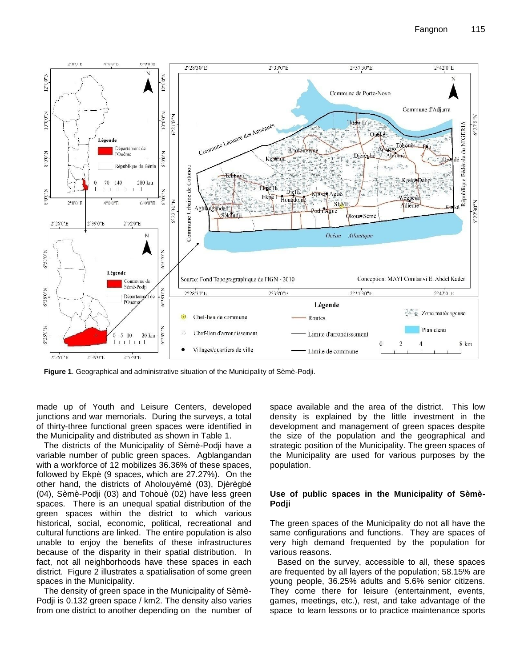

**Figure 1**. Geographical and administrative situation of the Municipality of Sèmè-Podji.

made up of Youth and Leisure Centers, developed junctions and war memorials. During the surveys, a total of thirty-three functional green spaces were identified in the Municipality and distributed as shown in Table 1.

The districts of the Municipality of Sèmè-Podji have a variable number of public green spaces. Agblangandan with a workforce of 12 mobilizes 36.36% of these spaces, followed by Ekpè (9 spaces, which are 27.27%). On the other hand, the districts of Aholouyèmè (03), Djèrègbé (04), Sèmè-Podji (03) and Tohouè (02) have less green spaces. There is an unequal spatial distribution of the green spaces within the district to which various historical, social, economic, political, recreational and cultural functions are linked. The entire population is also unable to enjoy the benefits of these infrastructures because of the disparity in their spatial distribution. In fact, not all neighborhoods have these spaces in each district. Figure 2 illustrates a spatialisation of some green spaces in the Municipality.

The density of green space in the Municipality of Sèmè-Podji is 0.132 green space / km2. The density also varies from one district to another depending on the number of

space available and the area of the district. This low density is explained by the little investment in the development and management of green spaces despite the size of the population and the geographical and strategic position of the Municipality. The green spaces of the Municipality are used for various purposes by the population.

#### **Use of public spaces in the Municipality of Sèmè-Podji**

The green spaces of the Municipality do not all have the same configurations and functions. They are spaces of very high demand frequented by the population for various reasons.

Based on the survey, accessible to all, these spaces are frequented by all layers of the population; 58.15% are young people, 36.25% adults and 5.6% senior citizens. They come there for leisure (entertainment, events, games, meetings, etc.), rest, and take advantage of the space to learn lessons or to practice maintenance sports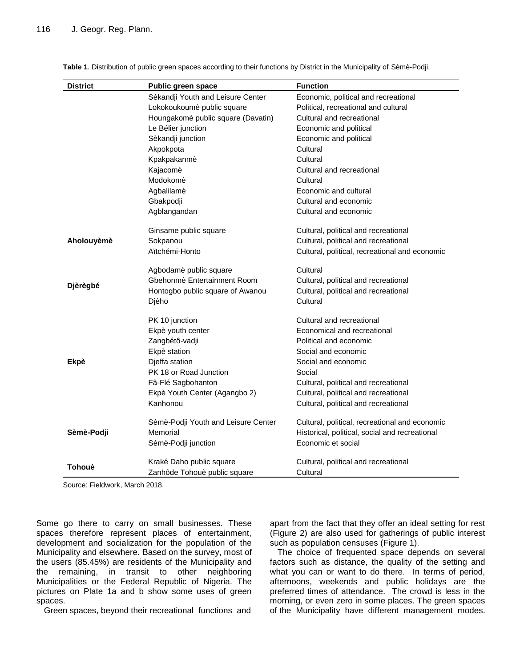| <b>District</b> | <b>Public green space</b>           | <b>Function</b>                                |
|-----------------|-------------------------------------|------------------------------------------------|
|                 | Sèkandji Youth and Leisure Center   | Economic, political and recreational           |
|                 | Lokokoukoumè public square          | Political, recreational and cultural           |
|                 | Houngakomè public square (Davatin)  | Cultural and recreational                      |
|                 | Le Bélier junction                  | Economic and political                         |
|                 | Sèkandji junction                   | Economic and political                         |
|                 | Akpokpota                           | Cultural                                       |
|                 | Kpakpakanmè                         | Cultural                                       |
|                 | Kajacomè                            | Cultural and recreational                      |
|                 | Modokomè                            | Cultural                                       |
|                 | Agbalilamè                          | Economic and cultural                          |
|                 | Gbakpodji                           | Cultural and economic                          |
|                 | Agblangandan                        | Cultural and economic                          |
| Aholouyèmè      | Ginsame public square               | Cultural, political and recreational           |
|                 | Sokpanou                            | Cultural, political and recreational           |
|                 | Aïtchémi-Honto                      | Cultural, political, recreational and economic |
| Djèrègbé        | Agbodamè public square              | Cultural                                       |
|                 | Gbehonmè Entertainment Room         | Cultural, political and recreational           |
|                 | Hontogbo public square of Awanou    | Cultural, political and recreational           |
|                 | Djèho                               | Cultural                                       |
| <b>Ekpè</b>     | PK 10 junction                      | Cultural and recreational                      |
|                 | Ekpè youth center                   | Economical and recreational                    |
|                 | Zangbétô-vadji                      | Political and economic                         |
|                 | Ekpè station                        | Social and economic                            |
|                 | Djeffa station                      | Social and economic                            |
|                 | PK 18 or Road Junction              | Social                                         |
|                 | Fâ-Flé Sagbohanton                  | Cultural, political and recreational           |
|                 | Ekpè Youth Center (Agangbo 2)       | Cultural, political and recreational           |
|                 | Kanhonou                            | Cultural, political and recreational           |
| Sèmè-Podji      | Sèmè-Podji Youth and Leisure Center | Cultural, political, recreational and economic |
|                 | Memorial                            | Historical, political, social and recreational |
|                 | Sèmè-Podji junction                 | Economic et social                             |
| Tohouè          | Kraké Daho public square            | Cultural, political and recreational           |
|                 | Zanhôde Tohouè public square        | Cultural                                       |

**Table 1**. Distribution of public green spaces according to their functions by District in the Municipality of Sèmè-Podji.

Source: Fieldwork, March 2018.

Some go there to carry on small businesses. These spaces therefore represent places of entertainment, development and socialization for the population of the Municipality and elsewhere. Based on the survey, most of the users (85.45%) are residents of the Municipality and the remaining, in transit to other neighboring Municipalities or the Federal Republic of Nigeria. The pictures on Plate 1a and b show some uses of green spaces.

Green spaces, beyond their recreational functions and

apart from the fact that they offer an ideal setting for rest (Figure 2) are also used for gatherings of public interest such as population censuses (Figure 1).

The choice of frequented space depends on several factors such as distance, the quality of the setting and what you can or want to do there. In terms of period, afternoons, weekends and public holidays are the preferred times of attendance. The crowd is less in the morning, or even zero in some places. The green spaces of the Municipality have different management modes.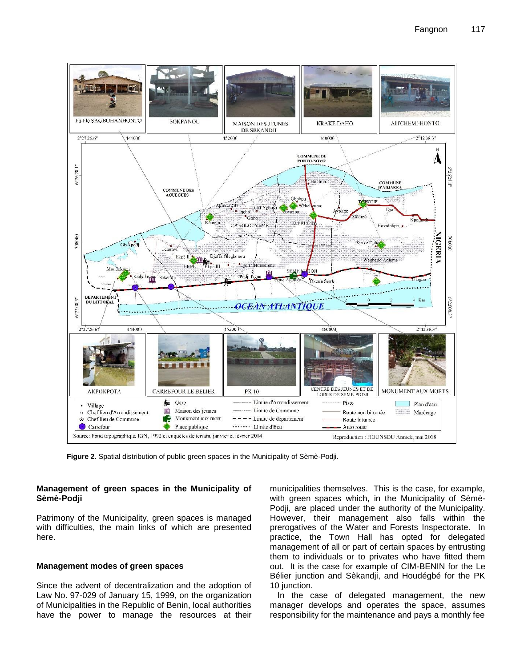

**Figure 2**. Spatial distribution of public green spaces in the Municipality of Sèmè-Podji.

## **Management of green spaces in the Municipality of Sèmè-Podji**

Patrimony of the Municipality, green spaces is managed with difficulties, the main links of which are presented here.

## **Management modes of green spaces**

Since the advent of decentralization and the adoption of Law No. 97-029 of January 15, 1999, on the organization of Municipalities in the Republic of Benin, local authorities have the power to manage the resources at their

municipalities themselves. This is the case, for example, with green spaces which, in the Municipality of Sèmè-Podji, are placed under the authority of the Municipality. However, their management also falls within the prerogatives of the Water and Forests Inspectorate. In practice, the Town Hall has opted for delegated management of all or part of certain spaces by entrusting them to individuals or to privates who have fitted them out. It is the case for example of CIM-BENIN for the Le Bélier junction and Sèkandji, and Houdégbé for the PK 10 junction.

In the case of delegated management, the new manager develops and operates the space, assumes responsibility for the maintenance and pays a monthly fee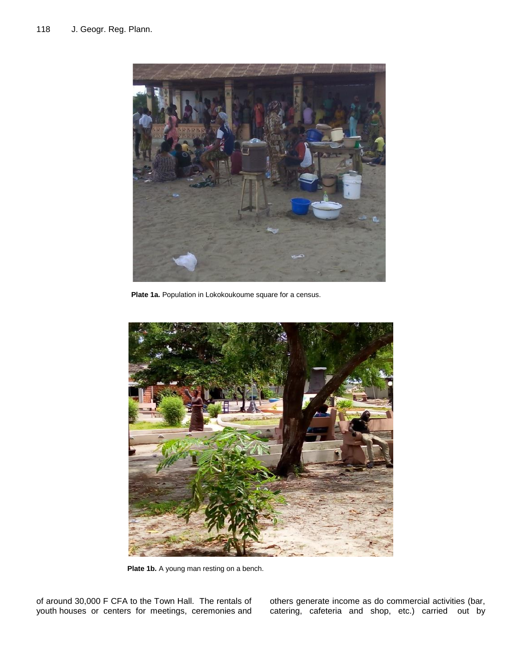

**Plate 1a.** Population in Lokokoukoume square for a census.



of around 30,000 F CFA to the Town Hall. The rentals of youth houses or centers for meetings, ceremonies and

others generate income as do commercial activities (bar, catering, cafeteria and shop, etc.) carried out by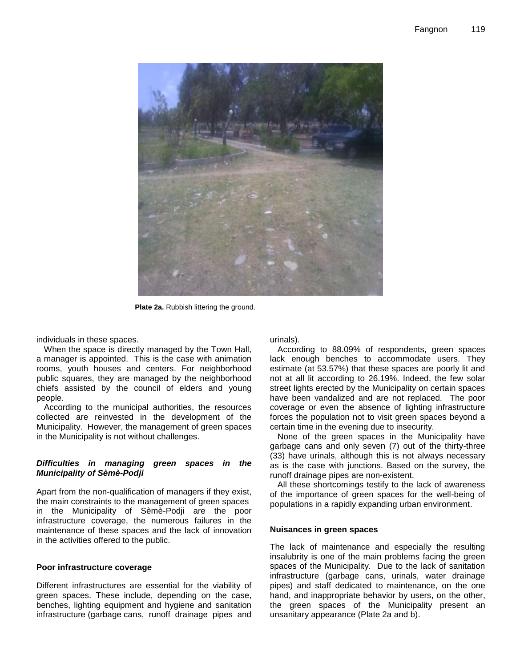

**Plate 2a.** Rubbish littering the ground.

individuals in these spaces.

When the space is directly managed by the Town Hall, a manager is appointed. This is the case with animation rooms, youth houses and centers. For neighborhood public squares, they are managed by the neighborhood chiefs assisted by the council of elders and young people.

According to the municipal authorities, the resources collected are reinvested in the development of the Municipality. However, the management of green spaces in the Municipality is not without challenges.

#### *Difficulties in managing green spaces in the Municipality of Sèmè-Podji*

Apart from the non-qualification of managers if they exist, the main constraints to the management of green spaces in the Municipality of Sèmè-Podji are the poor infrastructure coverage, the numerous failures in the maintenance of these spaces and the lack of innovation in the activities offered to the public.

#### **Poor infrastructure coverage**

Different infrastructures are essential for the viability of green spaces. These include, depending on the case, benches, lighting equipment and hygiene and sanitation infrastructure (garbage cans, runoff drainage pipes and urinals).

According to 88.09% of respondents, green spaces lack enough benches to accommodate users. They estimate (at 53.57%) that these spaces are poorly lit and not at all lit according to 26.19%. Indeed, the few solar street lights erected by the Municipality on certain spaces have been vandalized and are not replaced. The poor coverage or even the absence of lighting infrastructure forces the population not to visit green spaces beyond a certain time in the evening due to insecurity.

None of the green spaces in the Municipality have garbage cans and only seven (7) out of the thirty-three (33) have urinals, although this is not always necessary as is the case with junctions. Based on the survey, the runoff drainage pipes are non-existent.

All these shortcomings testify to the lack of awareness of the importance of green spaces for the well-being of populations in a rapidly expanding urban environment.

#### **Nuisances in green spaces**

The lack of maintenance and especially the resulting insalubrity is one of the main problems facing the green spaces of the Municipality. Due to the lack of sanitation infrastructure (garbage cans, urinals, water drainage pipes) and staff dedicated to maintenance, on the one hand, and inappropriate behavior by users, on the other, the green spaces of the Municipality present an unsanitary appearance (Plate 2a and b).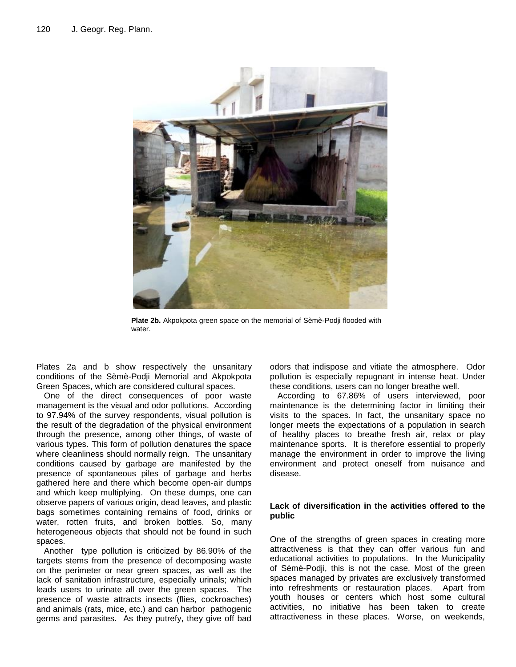

**Plate 2b.** Akpokpota green space on the memorial of Sèmè-Podji flooded with water.

Plates 2a and b show respectively the unsanitary conditions of the Sèmè-Podji Memorial and Akpokpota Green Spaces, which are considered cultural spaces.

One of the direct consequences of poor waste management is the visual and odor pollutions. According to 97.94% of the survey respondents, visual pollution is the result of the degradation of the physical environment through the presence, among other things, of waste of various types. This form of pollution denatures the space where cleanliness should normally reign. The unsanitary conditions caused by garbage are manifested by the presence of spontaneous piles of garbage and herbs gathered here and there which become open-air dumps and which keep multiplying. On these dumps, one can observe papers of various origin, dead leaves, and plastic bags sometimes containing remains of food, drinks or water, rotten fruits, and broken bottles. So, many heterogeneous objects that should not be found in such spaces.

Another type pollution is criticized by 86.90% of the targets stems from the presence of decomposing waste on the perimeter or near green spaces, as well as the lack of sanitation infrastructure, especially urinals; which leads users to urinate all over the green spaces. The presence of waste attracts insects (flies, cockroaches) and animals (rats, mice, etc.) and can harbor pathogenic germs and parasites. As they putrefy, they give off bad

odors that indispose and vitiate the atmosphere. Odor pollution is especially repugnant in intense heat. Under these conditions, users can no longer breathe well.

According to 67.86% of users interviewed, poor maintenance is the determining factor in limiting their visits to the spaces. In fact, the unsanitary space no longer meets the expectations of a population in search of healthy places to breathe fresh air, relax or play maintenance sports. It is therefore essential to properly manage the environment in order to improve the living environment and protect oneself from nuisance and disease.

## **Lack of diversification in the activities offered to the public**

One of the strengths of green spaces in creating more attractiveness is that they can offer various fun and educational activities to populations. In the Municipality of Sèmè-Podji, this is not the case. Most of the green spaces managed by privates are exclusively transformed into refreshments or restauration places. Apart from youth houses or centers which host some cultural activities, no initiative has been taken to create attractiveness in these places. Worse, on weekends,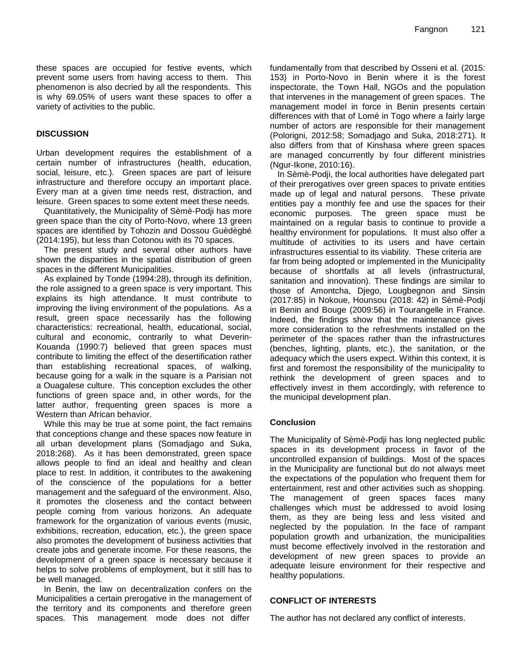these spaces are occupied for festive events, which prevent some users from having access to them. This phenomenon is also decried by all the respondents. This is why 69.05% of users want these spaces to offer a variety of activities to the public.

## **DISCUSSION**

Urban development requires the establishment of a certain number of infrastructures (health, education, social, leisure, etc.). Green spaces are part of leisure infrastructure and therefore occupy an important place. Every man at a given time needs rest, distraction, and leisure. Green spaces to some extent meet these needs.

Quantitatively, the Municipality of Sèmè-Podji has more green space than the city of Porto-Novo, where 13 green spaces are identified by Tohozin and Dossou Guèdègbé (2014:195), but less than Cotonou with its 70 spaces.

The present study and several other authors have shown the disparities in the spatial distribution of green spaces in the different Municipalities.

As explained by Tonde (1994:28), through its definition, the role assigned to a green space is very important. This explains its high attendance. It must contribute to improving the living environment of the populations. As a result, green space necessarily has the following characteristics: recreational, health, educational, social, cultural and economic, contrarily to what Deverin-Kouanda (1990:7) believed that green spaces must contribute to limiting the effect of the desertification rather than establishing recreational spaces, of walking, because going for a walk in the square is a Parisian not a Ouagalese culture. This conception excludes the other functions of green space and, in other words, for the latter author, frequenting green spaces is more a Western than African behavior.

While this may be true at some point, the fact remains that conceptions change and these spaces now feature in all urban development plans (Somadjago and Suka, 2018:268). As it has been demonstrated, green space allows people to find an ideal and healthy and clean place to rest. In addition, it contributes to the awakening of the conscience of the populations for a better management and the safeguard of the environment. Also, it promotes the closeness and the contact between people coming from various horizons. An adequate framework for the organization of various events (music, exhibitions, recreation, education, etc.), the green space also promotes the development of business activities that create jobs and generate income. For these reasons, the development of a green space is necessary because it helps to solve problems of employment, but it still has to be well managed.

In Benin, the law on decentralization confers on the Municipalities a certain prerogative in the management of the territory and its components and therefore green spaces. This management mode does not differ

fundamentally from that described by Osseni et al. (2015: 153) in Porto-Novo in Benin where it is the forest inspectorate, the Town Hall, NGOs and the population that intervenes in the management of green spaces. The management model in force in Benin presents certain differences with that of Lomé in Togo where a fairly large number of actors are responsible for their management (Polorigni, 2012:58; Somadjago and Suka, 2018:271). It also differs from that of Kinshasa where green spaces are managed concurrently by four different ministries (Ngur-Ikone, 2010:16).

In Sèmè-Podji, the local authorities have delegated part of their prerogatives over green spaces to private entities made up of legal and natural persons. These private entities pay a monthly fee and use the spaces for their economic purposes. The green space must be maintained on a regular basis to continue to provide a healthy environment for populations. It must also offer a multitude of activities to its users and have certain infrastructures essential to its viability. These criteria are far from being adopted or implemented in the Municipality because of shortfalls at all levels (infrastructural, sanitation and innovation). These findings are similar to those of Amontcha, Djego, Lougbegnon and Sinsin (2017:85) in Nokoue, Hounsou (2018: 42) in Sèmè-Podji in Benin and Bouge (2009:56) in Tourangelle in France. Indeed, the findings show that the maintenance gives more consideration to the refreshments installed on the perimeter of the spaces rather than the infrastructures (benches, lighting, plants, etc.), the sanitation, or the adequacy which the users expect. Within this context, it is first and foremost the responsibility of the municipality to rethink the development of green spaces and to effectively invest in them accordingly, with reference to the municipal development plan.

## **Conclusion**

The Municipality of Sèmè-Podji has long neglected public spaces in its development process in favor of the uncontrolled expansion of buildings. Most of the spaces in the Municipality are functional but do not always meet the expectations of the population who frequent them for entertainment, rest and other activities such as shopping. The management of green spaces faces many challenges which must be addressed to avoid losing them, as they are being less and less visited and neglected by the population. In the face of rampant population growth and urbanization, the municipalities must become effectively involved in the restoration and development of new green spaces to provide an adequate leisure environment for their respective and healthy populations.

## **CONFLICT OF INTERESTS**

The author has not declared any conflict of interests.